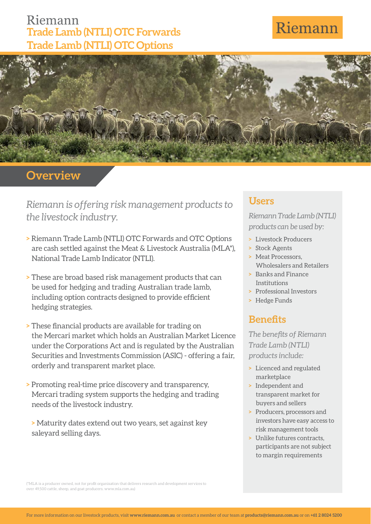## Riemann **Trade Lamb (NTLI) OTC Forwards Trade Lamb (NTLI) OTC Options**

# Riemann



## **Overview**

*Riemann is offering risk management products to the livestock industry.*

- **>** Riemann Trade Lamb (NTLI) OTC Forwards and OTC Options are cash settled against the Meat & Livestock Australia (MLA\*), National Trade Lamb Indicator (NTLI).
- **>** These are broad based risk management products that can be used for hedging and trading Australian trade lamb, including option contracts designed to provide efficient hedging strategies.
- **> These financial products are available for trading on** the Mercari market which holds an Australian Market Licence under the Corporations Act and is regulated by the Australian Securities and Investments Commission (ASIC) - offering a fair, orderly and transparent market place.
- **>** Promoting real-time price discovery and transparency, Mercari trading system supports the hedging and trading needs of the livestock industry.

**>** Maturity dates extend out two years, set against key saleyard selling days.

#### **Users**

*Riemann Trade Lamb (NTLI) products can be used by:*

- **>** Livestock Producers
- **>** Stock Agents
- **>** Meat Processors, Wholesalers and Retailers
- **>** Banks and Finance Institutions
- **>** Professional Investors
- **>** Hedge Funds

### **Benefits**

**The benefits of Riemann** *Trade Lamb (NTLI) products include:*

- **>** Licenced and regulated marketplace
- **>** Independent and transparent market for buyers and sellers
- **>** Producers, processors and investors have easy access to risk management tools
- **>** Unlike futures contracts, participants are not subject to margin requirements

(\*MLA is a producer owned, not for profit organisation that delivers research and development services to ver 49,500 cattle, sheep, and goat producers. www.mla.com.au